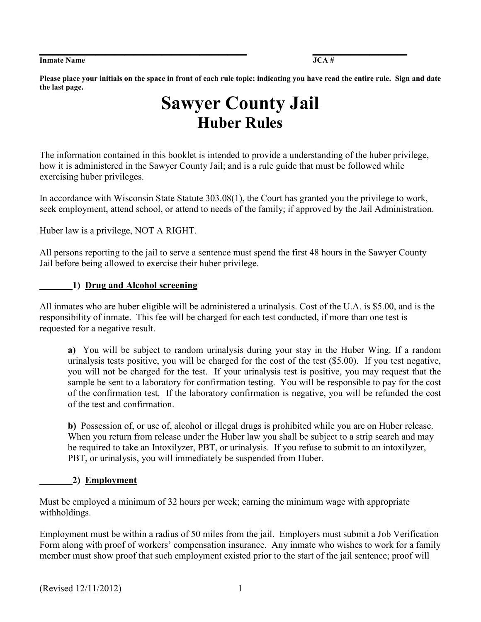#### **Inmate Name 32 and 32 and 32 and 33 and 34 and 35 and 35 and 35 and 36 and 36 and 36 and 36 and 36 and 36 and 36 and 36 and 36 and 36 and 36 and 36 and 36 and 36 and 36 and 36 and 36 and 36 and 36 and 36 and 36 and 36 and**

**Please place your initials on the space in front of each rule topic; indicating you have read the entire rule. Sign and date the last page.** 

# **Sawyer County Jail Huber Rules**

The information contained in this booklet is intended to provide a understanding of the huber privilege, how it is administered in the Sawyer County Jail; and is a rule guide that must be followed while exercising huber privileges.

In accordance with Wisconsin State Statute 303.08(1), the Court has granted you the privilege to work, seek employment, attend school, or attend to needs of the family; if approved by the Jail Administration.

#### Huber law is a privilege, NOT A RIGHT.

All persons reporting to the jail to serve a sentence must spend the first 48 hours in the Sawyer County Jail before being allowed to exercise their huber privilege.

#### **\_\_\_\_\_\_\_1) Drug and Alcohol screening**

All inmates who are huber eligible will be administered a urinalysis. Cost of the U.A. is \$5.00, and is the responsibility of inmate. This fee will be charged for each test conducted, if more than one test is requested for a negative result.

**a)** You will be subject to random urinalysis during your stay in the Huber Wing. If a random urinalysis tests positive, you will be charged for the cost of the test (\$5.00). If you test negative, you will not be charged for the test. If your urinalysis test is positive, you may request that the sample be sent to a laboratory for confirmation testing. You will be responsible to pay for the cost of the confirmation test. If the laboratory confirmation is negative, you will be refunded the cost of the test and confirmation.

**b)** Possession of, or use of, alcohol or illegal drugs is prohibited while you are on Huber release. When you return from release under the Huber law you shall be subject to a strip search and may be required to take an Intoxilyzer, PBT, or urinalysis. If you refuse to submit to an intoxilyzer, PBT, or urinalysis, you will immediately be suspended from Huber.

#### **\_\_\_\_\_\_\_2) Employment**

Must be employed a minimum of 32 hours per week; earning the minimum wage with appropriate withholdings.

Employment must be within a radius of 50 miles from the jail. Employers must submit a Job Verification Form along with proof of workers' compensation insurance. Any inmate who wishes to work for a family member must show proof that such employment existed prior to the start of the jail sentence; proof will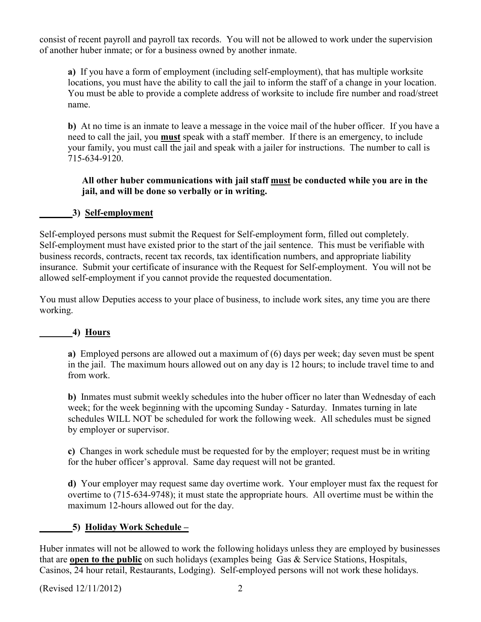consist of recent payroll and payroll tax records. You will not be allowed to work under the supervision of another huber inmate; or for a business owned by another inmate.

**a)** If you have a form of employment (including self-employment), that has multiple worksite locations, you must have the ability to call the jail to inform the staff of a change in your location. You must be able to provide a complete address of worksite to include fire number and road/street name.

**b)** At no time is an inmate to leave a message in the voice mail of the huber officer. If you have a need to call the jail, you **must** speak with a staff member. If there is an emergency, to include your family, you must call the jail and speak with a jailer for instructions. The number to call is 715-634-9120.

#### **All other huber communications with jail staff must be conducted while you are in the jail, and will be done so verbally or in writing.**

#### **\_\_\_\_\_\_\_3) Self-employment**

Self-employed persons must submit the Request for Self-employment form, filled out completely. Self-employment must have existed prior to the start of the jail sentence. This must be verifiable with business records, contracts, recent tax records, tax identification numbers, and appropriate liability insurance. Submit your certificate of insurance with the Request for Self-employment. You will not be allowed self-employment if you cannot provide the requested documentation.

You must allow Deputies access to your place of business, to include work sites, any time you are there working.

#### *<u>4)* Hours</u>

**a)** Employed persons are allowed out a maximum of (6) days per week; day seven must be spent in the jail. The maximum hours allowed out on any day is 12 hours; to include travel time to and from work.

**b)** Inmates must submit weekly schedules into the huber officer no later than Wednesday of each week; for the week beginning with the upcoming Sunday - Saturday. Inmates turning in late schedules WILL NOT be scheduled for work the following week. All schedules must be signed by employer or supervisor.

**c)** Changes in work schedule must be requested for by the employer; request must be in writing for the huber officer's approval. Same day request will not be granted.

**d)** Your employer may request same day overtime work. Your employer must fax the request for overtime to (715-634-9748); it must state the appropriate hours. All overtime must be within the maximum 12-hours allowed out for the day.

# **\_\_\_\_\_\_\_5) Holiday Work Schedule –**

Huber inmates will not be allowed to work the following holidays unless they are employed by businesses that are **open to the public** on such holidays (examples being Gas & Service Stations, Hospitals, Casinos, 24 hour retail, Restaurants, Lodging). Self-employed persons will not work these holidays.

(Revised 12/11/2012) 2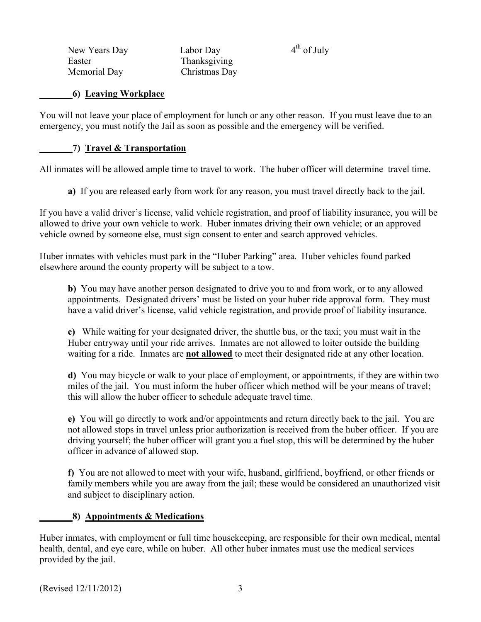New Years Day Labor Day  $4<sup>th</sup>$  of July Easter Thanksgiving Memorial Day Christmas Day

#### **\_\_\_\_\_\_\_6) Leaving Workplace**

You will not leave your place of employment for lunch or any other reason. If you must leave due to an emergency, you must notify the Jail as soon as possible and the emergency will be verified.

#### **\_\_\_\_\_\_\_7) Travel & Transportation**

All inmates will be allowed ample time to travel to work. The huber officer will determine travel time.

**a)** If you are released early from work for any reason, you must travel directly back to the jail.

If you have a valid driver's license, valid vehicle registration, and proof of liability insurance, you will be allowed to drive your own vehicle to work. Huber inmates driving their own vehicle; or an approved vehicle owned by someone else, must sign consent to enter and search approved vehicles.

Huber inmates with vehicles must park in the "Huber Parking" area. Huber vehicles found parked elsewhere around the county property will be subject to a tow.

**b)** You may have another person designated to drive you to and from work, or to any allowed appointments. Designated drivers' must be listed on your huber ride approval form. They must have a valid driver's license, valid vehicle registration, and provide proof of liability insurance.

**c)** While waiting for your designated driver, the shuttle bus, or the taxi; you must wait in the Huber entryway until your ride arrives. Inmates are not allowed to loiter outside the building waiting for a ride. Inmates are **not allowed** to meet their designated ride at any other location.

**d)** You may bicycle or walk to your place of employment, or appointments, if they are within two miles of the jail. You must inform the huber officer which method will be your means of travel; this will allow the huber officer to schedule adequate travel time.

**e)** You will go directly to work and/or appointments and return directly back to the jail. You are not allowed stops in travel unless prior authorization is received from the huber officer. If you are driving yourself; the huber officer will grant you a fuel stop, this will be determined by the huber officer in advance of allowed stop.

**f)** You are not allowed to meet with your wife, husband, girlfriend, boyfriend, or other friends or family members while you are away from the jail; these would be considered an unauthorized visit and subject to disciplinary action.

# **\_\_\_\_\_\_\_8) Appointments & Medications**

Huber inmates, with employment or full time housekeeping, are responsible for their own medical, mental health, dental, and eye care, while on huber. All other huber inmates must use the medical services provided by the jail.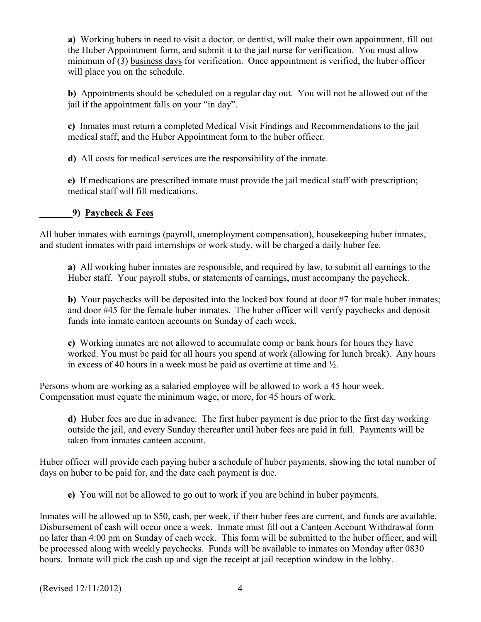**a)** Working hubers in need to visit a doctor, or dentist, will make their own appointment, fill out the Huber Appointment form, and submit it to the jail nurse for verification. You must allow minimum of (3) business days for verification. Once appointment is verified, the huber officer will place you on the schedule.

**b)** Appointments should be scheduled on a regular day out. You will not be allowed out of the jail if the appointment falls on your "in day".

**c)** Inmates must return a completed Medical Visit Findings and Recommendations to the jail medical staff; and the Huber Appointment form to the huber officer.

**d)** All costs for medical services are the responsibility of the inmate.

**e)** If medications are prescribed inmate must provide the jail medical staff with prescription; medical staff will fill medications.

# **\_\_\_\_\_\_\_9) Paycheck & Fees**

All huber inmates with earnings (payroll, unemployment compensation), housekeeping huber inmates, and student inmates with paid internships or work study, will be charged a daily huber fee.

**a)** All working huber inmates are responsible, and required by law, to submit all earnings to the Huber staff. Your payroll stubs, or statements of earnings, must accompany the paycheck.

**b**) Your paychecks will be deposited into the locked box found at door #7 for male huber inmates; and door #45 for the female huber inmates. The huber officer will verify paychecks and deposit funds into inmate canteen accounts on Sunday of each week.

**c)** Working inmates are not allowed to accumulate comp or bank hours for hours they have worked. You must be paid for all hours you spend at work (allowing for lunch break). Any hours in excess of 40 hours in a week must be paid as overtime at time and ½.

Persons whom are working as a salaried employee will be allowed to work a 45 hour week. Compensation must equate the minimum wage, or more, for 45 hours of work.

**d)** Huber fees are due in advance. The first huber payment is due prior to the first day working outside the jail, and every Sunday thereafter until huber fees are paid in full. Payments will be taken from inmates canteen account.

Huber officer will provide each paying huber a schedule of huber payments, showing the total number of days on huber to be paid for, and the date each payment is due.

**e)** You will not be allowed to go out to work if you are behind in huber payments.

Inmates will be allowed up to \$50, cash, per week, if their huber fees are current, and funds are available. Disbursement of cash will occur once a week. Inmate must fill out a Canteen Account Withdrawal form no later than 4:00 pm on Sunday of each week. This form will be submitted to the huber officer, and will be processed along with weekly paychecks. Funds will be available to inmates on Monday after 0830 hours. Inmate will pick the cash up and sign the receipt at jail reception window in the lobby.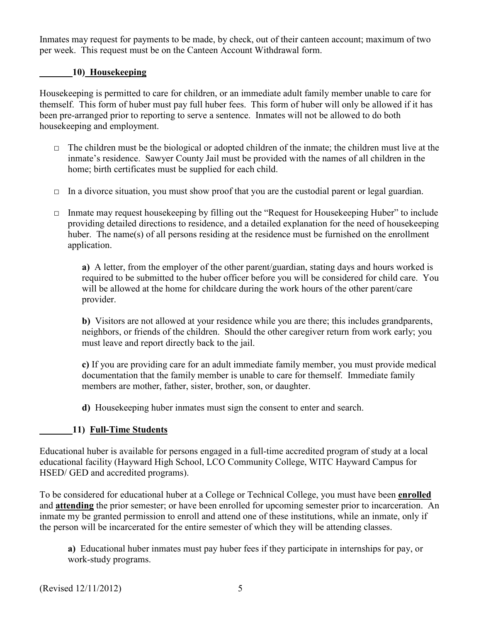Inmates may request for payments to be made, by check, out of their canteen account; maximum of two per week. This request must be on the Canteen Account Withdrawal form.

#### **\_\_\_\_\_\_\_10) Housekeeping**

Housekeeping is permitted to care for children, or an immediate adult family member unable to care for themself. This form of huber must pay full huber fees. This form of huber will only be allowed if it has been pre-arranged prior to reporting to serve a sentence. Inmates will not be allowed to do both housekeeping and employment.

- $\Box$  The children must be the biological or adopted children of the inmate; the children must live at the inmate's residence. Sawyer County Jail must be provided with the names of all children in the home; birth certificates must be supplied for each child.
- $\Box$  In a divorce situation, you must show proof that you are the custodial parent or legal guardian.
- $\Box$  Inmate may request house keeping by filling out the "Request for House keeping Huber" to include providing detailed directions to residence, and a detailed explanation for the need of housekeeping huber. The name(s) of all persons residing at the residence must be furnished on the enrollment application.

**a)** A letter, from the employer of the other parent/guardian, stating days and hours worked is required to be submitted to the huber officer before you will be considered for child care. You will be allowed at the home for childcare during the work hours of the other parent/care provider.

**b)** Visitors are not allowed at your residence while you are there; this includes grandparents, neighbors, or friends of the children. Should the other caregiver return from work early; you must leave and report directly back to the jail.

**c)** If you are providing care for an adult immediate family member, you must provide medical documentation that the family member is unable to care for themself. Immediate family members are mother, father, sister, brother, son, or daughter.

**d)** Housekeeping huber inmates must sign the consent to enter and search.

# **\_\_\_\_\_\_\_11) Full-Time Students**

Educational huber is available for persons engaged in a full-time accredited program of study at a local educational facility (Hayward High School, LCO Community College, WITC Hayward Campus for HSED/ GED and accredited programs).

To be considered for educational huber at a College or Technical College, you must have been **enrolled** and **attending** the prior semester; or have been enrolled for upcoming semester prior to incarceration. An inmate my be granted permission to enroll and attend one of these institutions, while an inmate, only if the person will be incarcerated for the entire semester of which they will be attending classes.

**a)** Educational huber inmates must pay huber fees if they participate in internships for pay, or work-study programs.

(Revised 12/11/2012) 5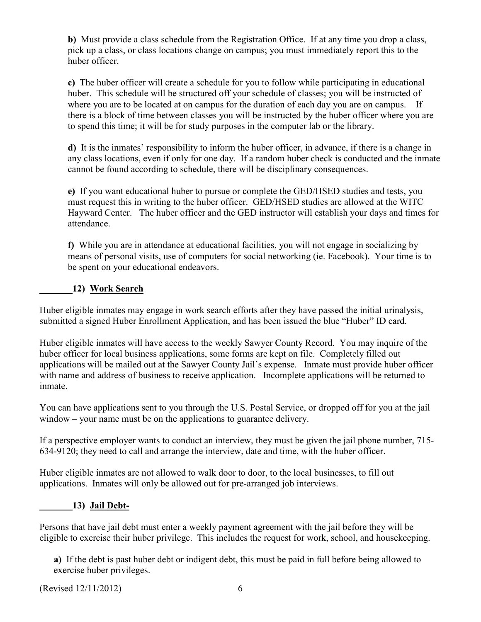**b)** Must provide a class schedule from the Registration Office. If at any time you drop a class, pick up a class, or class locations change on campus; you must immediately report this to the huber officer.

**c)** The huber officer will create a schedule for you to follow while participating in educational huber. This schedule will be structured off your schedule of classes; you will be instructed of where you are to be located at on campus for the duration of each day you are on campus. If there is a block of time between classes you will be instructed by the huber officer where you are to spend this time; it will be for study purposes in the computer lab or the library.

**d)** It is the inmates' responsibility to inform the huber officer, in advance, if there is a change in any class locations, even if only for one day. If a random huber check is conducted and the inmate cannot be found according to schedule, there will be disciplinary consequences.

**e)** If you want educational huber to pursue or complete the GED/HSED studies and tests, you must request this in writing to the huber officer. GED/HSED studies are allowed at the WITC Hayward Center. The huber officer and the GED instructor will establish your days and times for attendance.

**f)** While you are in attendance at educational facilities, you will not engage in socializing by means of personal visits, use of computers for social networking (ie. Facebook). Your time is to be spent on your educational endeavors.

# **\_\_\_\_\_\_\_12) Work Search**

Huber eligible inmates may engage in work search efforts after they have passed the initial urinalysis, submitted a signed Huber Enrollment Application, and has been issued the blue "Huber" ID card.

Huber eligible inmates will have access to the weekly Sawyer County Record. You may inquire of the huber officer for local business applications, some forms are kept on file. Completely filled out applications will be mailed out at the Sawyer County Jail's expense. Inmate must provide huber officer with name and address of business to receive application. Incomplete applications will be returned to inmate.

You can have applications sent to you through the U.S. Postal Service, or dropped off for you at the jail window – your name must be on the applications to guarantee delivery.

If a perspective employer wants to conduct an interview, they must be given the jail phone number, 715- 634-9120; they need to call and arrange the interview, date and time, with the huber officer.

Huber eligible inmates are not allowed to walk door to door, to the local businesses, to fill out applications. Inmates will only be allowed out for pre-arranged job interviews.

# **\_\_\_\_\_\_\_13) Jail Debt-**

Persons that have jail debt must enter a weekly payment agreement with the jail before they will be eligible to exercise their huber privilege. This includes the request for work, school, and housekeeping.

**a)** If the debt is past huber debt or indigent debt, this must be paid in full before being allowed to exercise huber privileges.

(Revised 12/11/2012) 6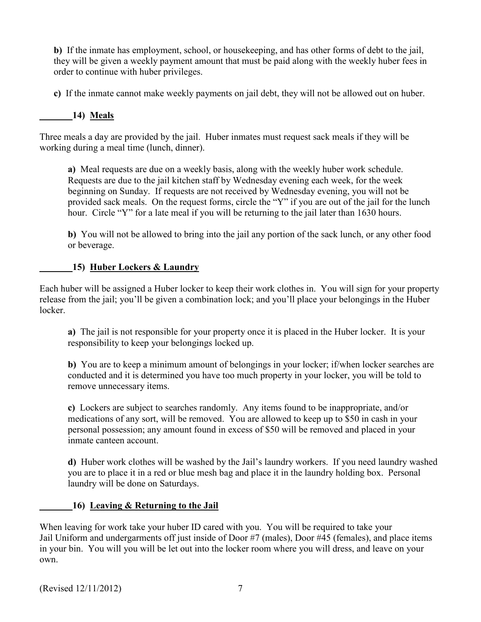**b)** If the inmate has employment, school, or housekeeping, and has other forms of debt to the jail, they will be given a weekly payment amount that must be paid along with the weekly huber fees in order to continue with huber privileges.

**c)** If the inmate cannot make weekly payments on jail debt, they will not be allowed out on huber.

# **\_\_\_\_\_\_\_14) Meals**

Three meals a day are provided by the jail. Huber inmates must request sack meals if they will be working during a meal time (lunch, dinner).

**a)** Meal requests are due on a weekly basis, along with the weekly huber work schedule. Requests are due to the jail kitchen staff by Wednesday evening each week, for the week beginning on Sunday. If requests are not received by Wednesday evening, you will not be provided sack meals. On the request forms, circle the "Y" if you are out of the jail for the lunch hour. Circle "Y" for a late meal if you will be returning to the jail later than 1630 hours.

**b)** You will not be allowed to bring into the jail any portion of the sack lunch, or any other food or beverage.

#### **\_\_\_\_\_\_\_15) Huber Lockers & Laundry**

Each huber will be assigned a Huber locker to keep their work clothes in. You will sign for your property release from the jail; you'll be given a combination lock; and you'll place your belongings in the Huber locker.

**a)** The jail is not responsible for your property once it is placed in the Huber locker. It is your responsibility to keep your belongings locked up.

**b)** You are to keep a minimum amount of belongings in your locker; if/when locker searches are conducted and it is determined you have too much property in your locker, you will be told to remove unnecessary items.

**c)** Lockers are subject to searches randomly. Any items found to be inappropriate, and/or medications of any sort, will be removed. You are allowed to keep up to \$50 in cash in your personal possession; any amount found in excess of \$50 will be removed and placed in your inmate canteen account.

**d)** Huber work clothes will be washed by the Jail's laundry workers. If you need laundry washed you are to place it in a red or blue mesh bag and place it in the laundry holding box. Personal laundry will be done on Saturdays.

# **\_\_\_\_\_\_\_16) Leaving & Returning to the Jail**

When leaving for work take your huber ID cared with you. You will be required to take your Jail Uniform and undergarments off just inside of Door #7 (males), Door #45 (females), and place items in your bin. You will you will be let out into the locker room where you will dress, and leave on your own.